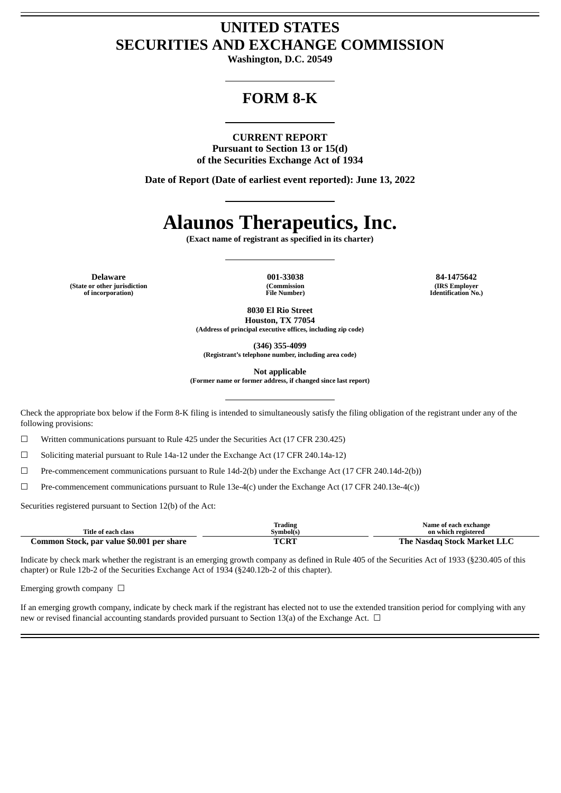# **UNITED STATES SECURITIES AND EXCHANGE COMMISSION**

**Washington, D.C. 20549**

# **FORM 8-K**

#### **CURRENT REPORT**

**Pursuant to Section 13 or 15(d) of the Securities Exchange Act of 1934**

**Date of Report (Date of earliest event reported): June 13, 2022**

# **Alaunos Therapeutics, Inc.**

**(Exact name of registrant as specified in its charter)**

**Delaware 001-33038 84-1475642 (State or other jurisdiction of incorporation)**

**(Commission File Number)**

**(IRS Employer Identification No.)**

**8030 El Rio Street**

**Houston, TX 77054 (Address of principal executive offices, including zip code)**

**(346) 355-4099**

**(Registrant's telephone number, including area code)**

**Not applicable**

**(Former name or former address, if changed since last report)**

Check the appropriate box below if the Form 8-K filing is intended to simultaneously satisfy the filing obligation of the registrant under any of the following provisions:

 $\Box$  Written communications pursuant to Rule 425 under the Securities Act (17 CFR 230.425)

☐ Soliciting material pursuant to Rule 14a-12 under the Exchange Act (17 CFR 240.14a-12)

 $\Box$  Pre-commencement communications pursuant to Rule 14d-2(b) under the Exchange Act (17 CFR 240.14d-2(b))

☐ Pre-commencement communications pursuant to Rule 13e-4(c) under the Exchange Act (17 CFR 240.13e-4(c))

Securities registered pursuant to Section 12(b) of the Act:

|                                           | Trading   | Name of each exchange              |
|-------------------------------------------|-----------|------------------------------------|
| Title of each class                       | Svmbol(s) | on which registered                |
| Common Stock, par value \$0.001 per share | TCRT      | <b>The Nasdag Stock Market LLC</b> |

Indicate by check mark whether the registrant is an emerging growth company as defined in Rule 405 of the Securities Act of 1933 (§230.405 of this chapter) or Rule 12b-2 of the Securities Exchange Act of 1934 (§240.12b-2 of this chapter).

Emerging growth company  $\Box$ 

If an emerging growth company, indicate by check mark if the registrant has elected not to use the extended transition period for complying with any new or revised financial accounting standards provided pursuant to Section 13(a) of the Exchange Act.  $\Box$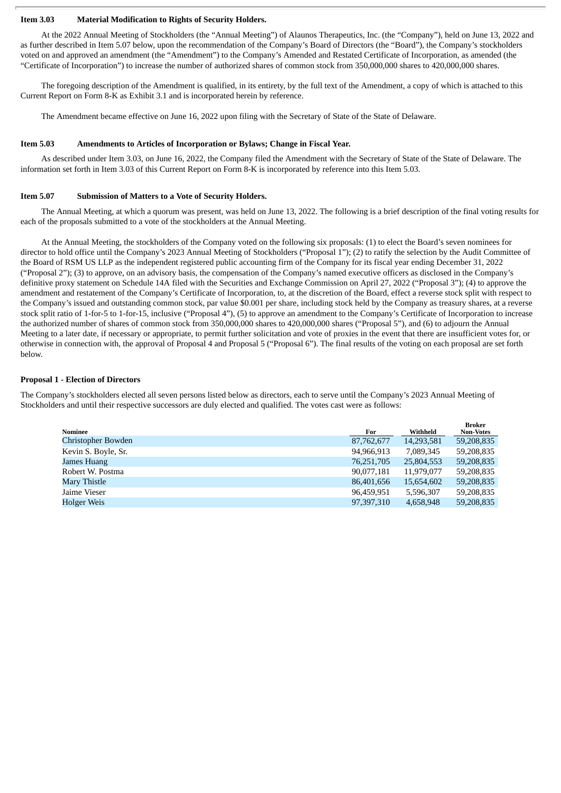## **Item 3.03 Material Modification to Rights of Security Holders.**

At the 2022 Annual Meeting of Stockholders (the "Annual Meeting") of Alaunos Therapeutics, Inc. (the "Company"), held on June 13, 2022 and as further described in Item 5.07 below, upon the recommendation of the Company's Board of Directors (the "Board"), the Company's stockholders voted on and approved an amendment (the "Amendment") to the Company's Amended and Restated Certificate of Incorporation, as amended (the "Certificate of Incorporation") to increase the number of authorized shares of common stock from 350,000,000 shares to 420,000,000 shares.

The foregoing description of the Amendment is qualified, in its entirety, by the full text of the Amendment, a copy of which is attached to this Current Report on Form 8-K as Exhibit 3.1 and is incorporated herein by reference.

The Amendment became effective on June 16, 2022 upon filing with the Secretary of State of the State of Delaware.

#### **Item 5.03 Amendments to Articles of Incorporation or Bylaws; Change in Fiscal Year.**

As described under Item 3.03, on June 16, 2022, the Company filed the Amendment with the Secretary of State of the State of Delaware. The information set forth in Item 3.03 of this Current Report on Form 8-K is incorporated by reference into this Item 5.03.

#### **Item 5.07 Submission of Matters to a Vote of Security Holders.**

The Annual Meeting, at which a quorum was present, was held on June 13, 2022. The following is a brief description of the final voting results for each of the proposals submitted to a vote of the stockholders at the Annual Meeting.

At the Annual Meeting, the stockholders of the Company voted on the following six proposals: (1) to elect the Board's seven nominees for director to hold office until the Company's 2023 Annual Meeting of Stockholders ("Proposal 1"); (2) to ratify the selection by the Audit Committee of the Board of RSM US LLP as the independent registered public accounting firm of the Company for its fiscal year ending December 31, 2022 ("Proposal 2"); (3) to approve, on an advisory basis, the compensation of the Company's named executive officers as disclosed in the Company's definitive proxy statement on Schedule 14A filed with the Securities and Exchange Commission on April 27, 2022 ("Proposal 3"); (4) to approve the amendment and restatement of the Company's Certificate of Incorporation, to, at the discretion of the Board, effect a reverse stock split with respect to the Company's issued and outstanding common stock, par value \$0.001 per share, including stock held by the Company as treasury shares, at a reverse stock split ratio of 1-for-5 to 1-for-15, inclusive ("Proposal 4"), (5) to approve an amendment to the Company's Certificate of Incorporation to increase the authorized number of shares of common stock from 350,000,000 shares to 420,000,000 shares ("Proposal 5"), and (6) to adjourn the Annual Meeting to a later date, if necessary or appropriate, to permit further solicitation and vote of proxies in the event that there are insufficient votes for, or otherwise in connection with, the approval of Proposal 4 and Proposal 5 ("Proposal 6"). The final results of the voting on each proposal are set forth below.

#### **Proposal 1 - Election of Directors**

The Company's stockholders elected all seven persons listed below as directors, each to serve until the Company's 2023 Annual Meeting of Stockholders and until their respective successors are duly elected and qualified. The votes cast were as follows:

|                     |            |            | <b>Broker</b>    |
|---------------------|------------|------------|------------------|
| Nominee             | For        | Withheld   | <b>Non-Votes</b> |
| Christopher Bowden  | 87,762,677 | 14,293,581 | 59,208,835       |
| Kevin S. Boyle, Sr. | 94,966,913 | 7,089,345  | 59,208,835       |
| James Huang         | 76,251,705 | 25,804,553 | 59,208,835       |
| Robert W. Postma    | 90,077,181 | 11,979,077 | 59,208,835       |
| Mary Thistle        | 86,401,656 | 15,654,602 | 59,208,835       |
| Jaime Vieser        | 96,459,951 | 5.596.307  | 59.208.835       |
| Holger Weis         | 97,397,310 | 4,658,948  | 59,208,835       |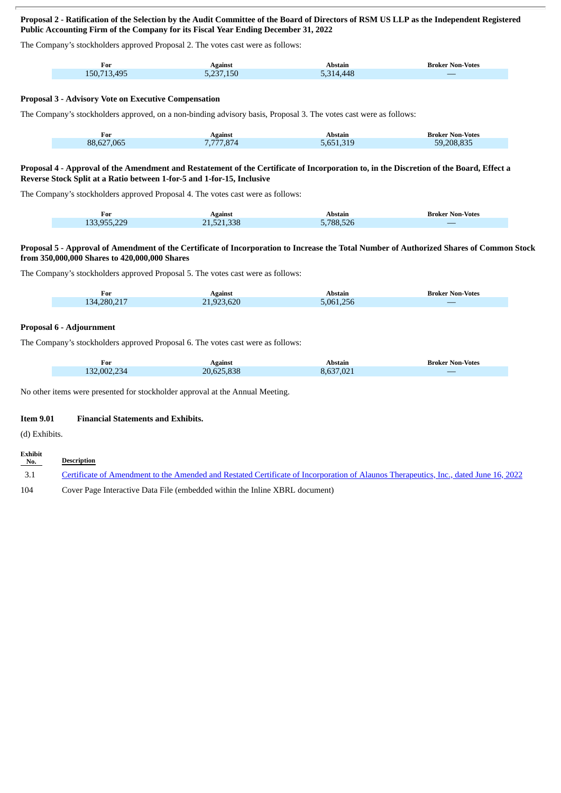# Proposal 2 - Ratification of the Selection by the Audit Committee of the Board of Directors of RSM US LLP as the Independent Registered **Public Accounting Firm of the Company for its Fiscal Year Ending December 31, 2022**

The Company's stockholders approved Proposal 2. The votes cast were as follows:

| For         | Against   | Abstain   | <b>Broker Non-Votes</b>                                                                                               |
|-------------|-----------|-----------|-----------------------------------------------------------------------------------------------------------------------|
| 150,713,495 | 5,237,150 | 5,314,448 | <b>Contract Contract Contract Contract Contract Contract Contract Contract Contract Contract Contract Contract Co</b> |

# **Proposal 3 - Advisory Vote on Executive Compensation**

The Company's stockholders approved, on a non-binding advisory basis, Proposal 3. The votes cast were as follows:

| For        | Against  | Abstain   | <b>Broker Non-Votes</b> |
|------------|----------|-----------|-------------------------|
| 88,627,065 | .777.874 | 5.651.319 | 59.208.835              |
|            |          |           |                         |

#### Proposal 4 - Approval of the Amendment and Restatement of the Certificate of Incorporation to, in the Discretion of the Board, Effect a **Reverse Stock Split at a Ratio between 1-for-5 and 1-for-15, Inclusive**

The Company's stockholders approved Proposal 4. The votes cast were as follows:

| For         | Against    | Abstain          | <b>Broker Non-Votes</b>  |
|-------------|------------|------------------|--------------------------|
| 133,955,229 | 21,521,338 | <b>5,788,526</b> | $\overline{\phantom{a}}$ |

#### Proposal 5 - Approval of Amendment of the Certificate of Incorporation to Increase the Total Number of Authorized Shares of Common Stock **from 350,000,000 Shares to 420,000,000 Shares**

The Company's stockholders approved Proposal 5. The votes cast were as follows:

| For         | Against    | Abstain   | <b>Broker Non-Votes</b> |
|-------------|------------|-----------|-------------------------|
| 134,280,217 | 21,923,620 | 5,061,256 |                         |

# **Proposal 6 - Adjournment**

The Company's stockholders approved Proposal 6. The votes cast were as follows:

| For<br>____ | Against    | Abstain        | <b>Broker Non-Votes</b>                                                                                               |
|-------------|------------|----------------|-----------------------------------------------------------------------------------------------------------------------|
| 132,002,234 | 20,625,838 | $\sim$<br>,021 | <b>Contract Contract Contract Contract Contract Contract Contract Contract Contract Contract Contract Contract Co</b> |

No other items were presented for stockholder approval at the Annual Meeting.

## **Item 9.01 Financial Statements and Exhibits.**

(d) Exhibits.

| Exhibit<br>No. | Description                                                                                                                          |
|----------------|--------------------------------------------------------------------------------------------------------------------------------------|
| 3.1            | Certificate of Amendment to the Amended and Restated Certificate of Incorporation of Alaunos Therapeutics, Inc., dated June 16, 2022 |
| 104            | Cover Page Interactive Data File (embedded within the Inline XBRL document)                                                          |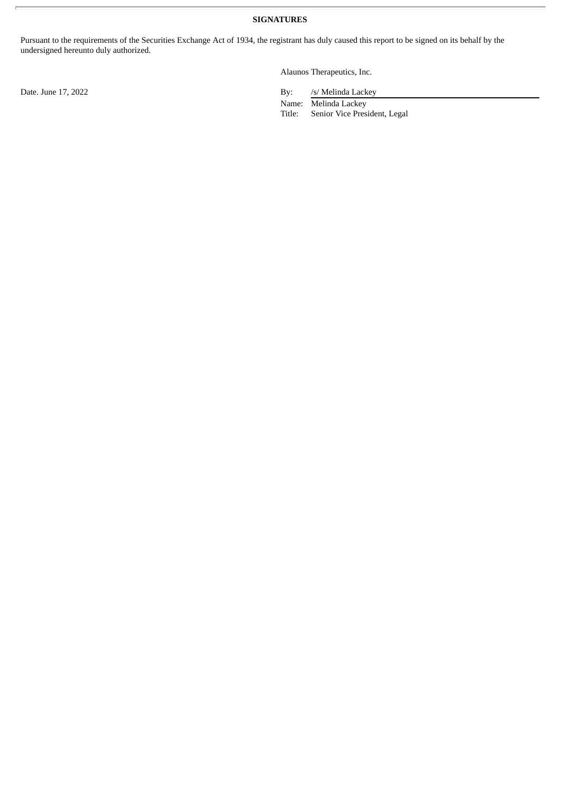**SIGNATURES**

Pursuant to the requirements of the Securities Exchange Act of 1934, the registrant has duly caused this report to be signed on its behalf by the undersigned hereunto duly authorized.

Alaunos Therapeutics, Inc.

Date. June 17, 2022 By: /s/ Melinda Lackey

Name: Melinda Lackey Title: Senior Vice President, Legal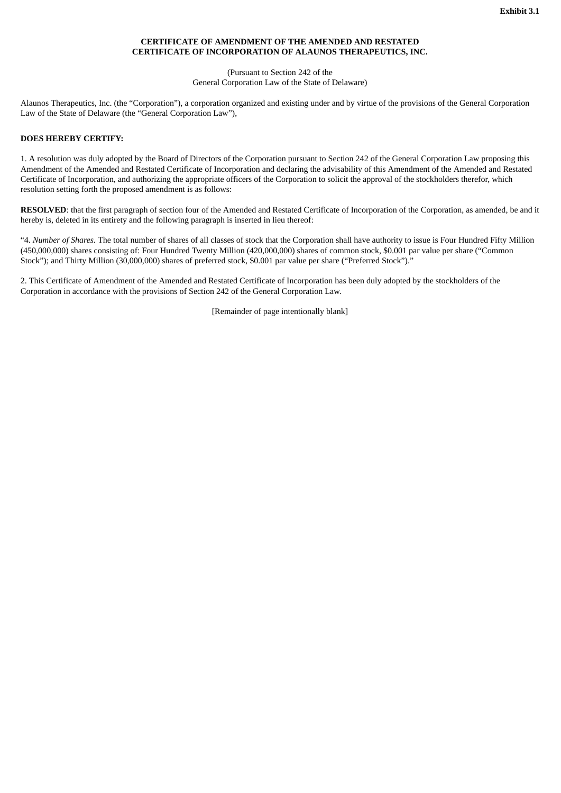# **CERTIFICATE OF AMENDMENT OF THE AMENDED AND RESTATED CERTIFICATE OF INCORPORATION OF ALAUNOS THERAPEUTICS, INC.**

#### (Pursuant to Section 242 of the General Corporation Law of the State of Delaware)

<span id="page-4-0"></span>Alaunos Therapeutics, Inc. (the "Corporation"), a corporation organized and existing under and by virtue of the provisions of the General Corporation Law of the State of Delaware (the "General Corporation Law"),

## **DOES HEREBY CERTIFY:**

1. A resolution was duly adopted by the Board of Directors of the Corporation pursuant to Section 242 of the General Corporation Law proposing this Amendment of the Amended and Restated Certificate of Incorporation and declaring the advisability of this Amendment of the Amended and Restated Certificate of Incorporation, and authorizing the appropriate officers of the Corporation to solicit the approval of the stockholders therefor, which resolution setting forth the proposed amendment is as follows:

**RESOLVED**: that the first paragraph of section four of the Amended and Restated Certificate of Incorporation of the Corporation, as amended, be and it hereby is, deleted in its entirety and the following paragraph is inserted in lieu thereof:

"4. *Number of Shares.* The total number of shares of all classes of stock that the Corporation shall have authority to issue is Four Hundred Fifty Million (450,000,000) shares consisting of: Four Hundred Twenty Million (420,000,000) shares of common stock, \$0.001 par value per share ("Common Stock"); and Thirty Million (30,000,000) shares of preferred stock, \$0.001 par value per share ("Preferred Stock")."

2. This Certificate of Amendment of the Amended and Restated Certificate of Incorporation has been duly adopted by the stockholders of the Corporation in accordance with the provisions of Section 242 of the General Corporation Law.

[Remainder of page intentionally blank]